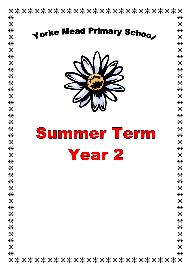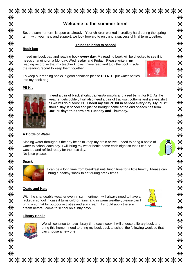|                          | <b>Welcome to the summer term!</b>                                                                                                                                                                                                                                                                                                                                                            |
|--------------------------|-----------------------------------------------------------------------------------------------------------------------------------------------------------------------------------------------------------------------------------------------------------------------------------------------------------------------------------------------------------------------------------------------|
|                          | So, the summer term is upon us already! Your children worked incredibly hard during the spring<br>term; with your help and support, we look forward to enjoying a successful final term together.                                                                                                                                                                                             |
| <b>Book bag</b>          | Things to bring to school                                                                                                                                                                                                                                                                                                                                                                     |
|                          | I need my book bag and reading book every day. My reading book will be checked to see if it<br>needs changing on a Monday, Wednesday and Friday. Please write in my<br>reading record so that my teacher knows I have read and tuck the book inside<br>the reading record to keep them together.                                                                                              |
| into my book bag.        | To keep our reading books in good condition please DO NOT put water bottles                                                                                                                                                                                                                                                                                                                   |
| <b>PE Kit</b>            |                                                                                                                                                                                                                                                                                                                                                                                               |
|                          | I need a pair of black shorts, trainers/plimsolls and a red t-shirt for PE. As the<br>weather gets colder, I will also need a pair of tracksuit bottoms and a sweatshirt<br>as we will do outdoor PE. I need my full PE kit in school every day. My PE kit<br>should stay in school and just be brought home at the end of each half term.<br>Our PE days this term are Tuesday and Thursday. |
| <b>A Bottle of Water</b> |                                                                                                                                                                                                                                                                                                                                                                                               |
| No juice please.         | Sipping water throughout the day helps to keep my brain active. I need to bring a bottle of<br>water to school each day. I will bring my water bottle home each night so that it can be<br>washed and refilled ready for the next day.                                                                                                                                                        |
| <b>Snack</b>             | It can be a long time from breakfast until lunch time for a little tummy. Please can<br>I bring a healthy snack to eat during break times.                                                                                                                                                                                                                                                    |
| <b>Coats and Hats</b>    |                                                                                                                                                                                                                                                                                                                                                                                               |
|                          | With the changeable weather even in summertime, I will always need to have a<br>jacket in school in case it turns cold or rains, and in warm weather, please can I<br>bring a sunhat for outdoor activities and sun cream. I should apply the sun<br>cream before I come to school on sunny days.                                                                                             |
| <b>Library Books</b>     |                                                                                                                                                                                                                                                                                                                                                                                               |
|                          | We will continue to have library time each week. I will choose a library book and<br>bring this home. I need to bring my book back to school the following week so that I<br>can choose a new one.                                                                                                                                                                                            |
|                          | ***************************                                                                                                                                                                                                                                                                                                                                                                   |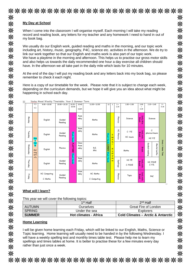|                                                      | My Day at School                                                                                   |                   |                                                                                                                                                                                             |                       |                                                                                                                                                                                                                                                                                                                                                                                                                                                                                                                                                                                                                                                                                                     |             |                         |              |                     |                     |                                     |                                    |
|------------------------------------------------------|----------------------------------------------------------------------------------------------------|-------------------|---------------------------------------------------------------------------------------------------------------------------------------------------------------------------------------------|-----------------------|-----------------------------------------------------------------------------------------------------------------------------------------------------------------------------------------------------------------------------------------------------------------------------------------------------------------------------------------------------------------------------------------------------------------------------------------------------------------------------------------------------------------------------------------------------------------------------------------------------------------------------------------------------------------------------------------------------|-------------|-------------------------|--------------|---------------------|---------------------|-------------------------------------|------------------------------------|
| my book bag.                                         |                                                                                                    |                   | When I come into the classroom I will organise myself. Each morning I will take my reading<br>record and reading book, any letters for my teacher and any homework I need to hand in out of |                       |                                                                                                                                                                                                                                                                                                                                                                                                                                                                                                                                                                                                                                                                                                     |             |                         |              |                     |                     |                                     |                                    |
|                                                      | remember to check it each night.                                                                   |                   |                                                                                                                                                                                             |                       | We usually do our English work, guided reading and maths in the morning, and our topic work<br>including art, history, music, geography, P4C, science etc. activities in the afternoon. We do try to<br>link our work together so that our English and maths work is also part of our topic work.<br>We have a playtime in the morning and afternoon. This helps us to practise our gross motor skills<br>and also helps us towards the daily recommended one hour a day exercise all children should<br>have. In the afternoon we all take part in the daily mile which lasts for 10 minutes.<br>At the end of the day I will put my reading book and any letters back into my book bag, so please |             |                         |              |                     |                     |                                     |                                    |
| ŀ÷<br>8.45                                           | happening in school each day.<br>Yorke Mead Weekly Timetable: Year 2 Summer Term<br>$9.00 - 10.00$ | $10.00 - 10.25$   | $10.25 -$                                                                                                                                                                                   | 10.40                 | Here is a copy of our timetable for the week. Please note that it is subject to change each week,<br>depending on the curriculum demands, but we hope it will give you an idea about what might be<br>$11.00 - 12.00$                                                                                                                                                                                                                                                                                                                                                                                                                                                                               | 12          | 1                       | $1 -$        | $1.00 - 2.00$       | 2.00                | $2.15 - 2.45$                       | $3 -$                              |
| 9am                                                  |                                                                                                    |                   | 10.40                                                                                                                                                                                       |                       |                                                                                                                                                                                                                                                                                                                                                                                                                                                                                                                                                                                                                                                                                                     |             |                         | 1.15         |                     |                     |                                     | 3.15                               |
|                                                      |                                                                                                    |                   |                                                                                                                                                                                             | 11am                  |                                                                                                                                                                                                                                                                                                                                                                                                                                                                                                                                                                                                                                                                                                     |             |                         |              |                     | 2.15                |                                     |                                    |
| Monday                                               | English                                                                                            | Guided<br>Reading |                                                                                                                                                                                             | Asse<br>mbly          | Maths                                                                                                                                                                                                                                                                                                                                                                                                                                                                                                                                                                                                                                                                                               |             |                         | Phonics      | Science             | Daily Mile<br>Break | Science                             |                                    |
| Tuesday<br>Was                                       | English                                                                                            | Guided<br>Reading |                                                                                                                                                                                             | Asse<br>mbly          | Maths                                                                                                                                                                                                                                                                                                                                                                                                                                                                                                                                                                                                                                                                                               |             | eg<br>is.               | ř<br>Phonics | C: P.E<br>HC: music | Daily mile<br>Break | C:<br>phonics/music<br>HC: P.E      |                                    |
| h<br>Han<br>Wednes<br>ds<br>Mor<br>ĝ<br>ning<br>acti | English                                                                                            | Phonics           | Wash Hands Pl                                                                                                                                                                               | Class<br>Asse<br>mbly | R.E.<br>PPA                                                                                                                                                                                                                                                                                                                                                                                                                                                                                                                                                                                                                                                                                         | <b>UNCH</b> | df                      |              | Maths               | Brea                | Guided<br>Mental<br>maths<br>galing | Story<br>Home<br>Time <sup>2</sup> |
| vity<br>Thursday                                     | English                                                                                            | Guided<br>Reading | E Wash Hands                                                                                                                                                                                | Asse<br>mbly          | Maths                                                                                                                                                                                                                                                                                                                                                                                                                                                                                                                                                                                                                                                                                               | <b>Wash</b> | <b>ul</b><br>ne<br>\$\$ | Spellings    | HC: PE<br>C: PSHE   | Daily mile<br>Break | HC: PSHE<br>C: P.E.                 |                                    |
| Friday                                               | HC: Computing<br>C: Maths                                                                          | Guided<br>Reading |                                                                                                                                                                                             | Asse<br>mbly          | HC: Maths<br>C: Computing                                                                                                                                                                                                                                                                                                                                                                                                                                                                                                                                                                                                                                                                           |             |                         | Phonics      | Topic               | Daily mile<br>Break | P4C                                 |                                    |
|                                                      | What will I learn?                                                                                 |                   |                                                                                                                                                                                             |                       |                                                                                                                                                                                                                                                                                                                                                                                                                                                                                                                                                                                                                                                                                                     |             |                         |              |                     |                     |                                     |                                    |

## **Home Learning**

I will be given home learning each Friday, which will be linked to our English, Maths, Science or Topic learning. Home learning will usually need to be handed in by the following Wednesday. I will have a weekly spelling test and monthly times table test. Please help me to learn my spellings and times tables at home. It is better to practise these for a few minutes every day rather than just once a week.

\*\*\*\*\*\*\*\*\*\*\*\*\*\*\*\*\*\*\*\*\*\*\*\*\*\*\*\*

SPRING | Under the sea | Explorers

**SUMMER Hot climates - Africa Cold Climates – Arctic & Antarctic**

米

米米米米米米米

米米米米米米米米米米米米米米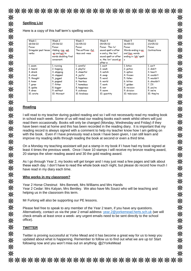\*\*\*\*\*\*\*\*\*\*\*\*\*\*\*\*\*\*\*\*\*\*\*\*\*\*\* 米 米 **Spelling List** 米 Here is a copy of this half term's spelling words. 米 Week 1 Week 2 Week 3 Week 4 Week 5 Week 6 ※ 16/05/22 18/04/22 02/05/22 09/05/22 23/05/22 25/04/22 Focus Focus Focus: Focus: The /o/ Focus: Focus: 米米米米米米米 The suffixes -ful Irregular past tense Adding -ing, -ed, sound spelt a after Words ending in gn Contractions verbs -er and est to -less and -ness w and q, the /er/ and tion, words sound spelt or after words doubling final ending in /zh/ spelt consonant. w. the /or/ sound ar after w 1. swam 1. running 1. careful 1. want 1. lotion  $1. can't$ 2. heard 2. playful 2. wash 2. didn't 2. hopping 2. potion 3. drank 3. cheerful 3. watch 3. option 3. hasn't 3. skipping 4. stood 4. swap 4. joyful 4. frozen 4. couldn't 4. clapped 5. thought 5. jogged 5. hopeless 5. word 5. fallen 5. wouldn't 6. world 6. knew 6. fearless 6. kitten 6. shouldn't 6. popped 7. TII 7. grew 7. fitter 7. homeless 7. work 7. golden 米米米米米米米米米米米米米米米米米米米米 8. spoke 8. bigger 8. happiness 8. war 8. revision 8. you're 9. drew 9. warm 9. division 9. we're 9. wettest 9. sickness 10. wrote 10. thinnest 10. kindness 10. quantity 10. television 10. they're **Reading** I will read to my teacher during guided reading and so I will not necessarily read my reading book in school each week. Some of us will read our reading books each week whilst others will just read them occasionally. Books will only be changed (Monday, Wednesday and Friday) if they have been read at home and this has been recorded in the reading diary. It is important that my reading record is always signed with a comment to help my teacher know how I am getting on with the book. Even if I have previously read a book I have been given, I can still learn and improve my reading skills through reading the book at second or even a third time. On a Monday my teaching assistant will put a stamp in my book if I have had my book signed at least 4 times the previous week. Once I have 10 stamps I will receive my bronze reading award, 20 stamps the silver reading award and 30 the gold reading award. As I go through Year 2, my books will get longer and I may just read a few pages and talk about these each day. I don't have to read the whole book each night, but please do record how much I have read in my diary each time. **Who works in my classroom?**

Year 2 Horse Chestnut: Mrs Bennett, Mrs Williams and Mrs Hands Year 2 Cedar: Mrs Kalyan, Mrs Bentley. We also have Ms Souici who will be teaching and helping us in the classroom this term.

Mr Furlong will also be supporting our PE lessons.

Please feel free to speak to any member of the Year 2 team, if you have any questions. Alternatively, contact us via the year 2 email address: [year.2@yorkemead.herts.sch.uk](mailto:year.2@yorkemead.herts.sch.uk) (we will check emails at least once a week- any urgent emails need to be sent directly to the school office).

## **TWITTER**

Twitter is proving successful at Yorke Mead and it has become a great way for us to keep you updated about what is happening. Remember to follow us to find out what we are up to! Start following now and you won't miss out on anything. @2YorkeMead

\*\*\*\*\*\*\*\*\*\*\*\*\*\*\*\*\*\*\*\*\*\*\*\*\*\*\*

米 米